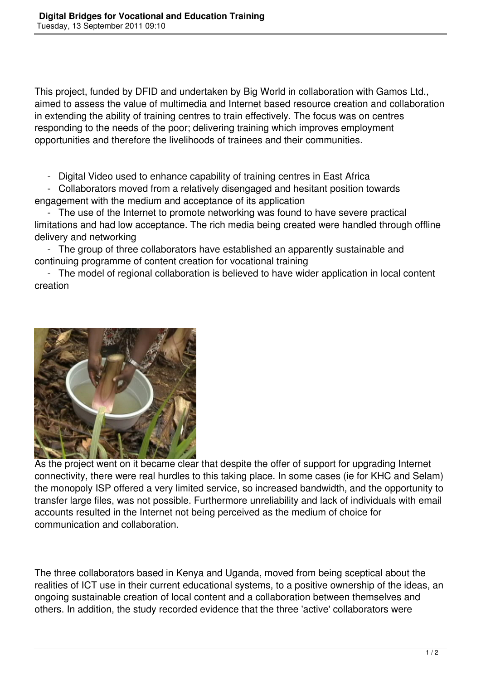This project, funded by DFID and undertaken by Big World in collaboration with Gamos Ltd., aimed to assess the value of multimedia and Internet based resource creation and collaboration in extending the ability of training centres to train effectively. The focus was on centres responding to the needs of the poor; delivering training which improves employment opportunities and therefore the livelihoods of trainees and their communities.

- Digital Video used to enhance capability of training centres in East Africa

 - Collaborators moved from a relatively disengaged and hesitant position towards engagement with the medium and acceptance of its application

 - The use of the Internet to promote networking was found to have severe practical limitations and had low acceptance. The rich media being created were handled through offline delivery and networking

 - The group of three collaborators have established an apparently sustainable and continuing programme of content creation for vocational training

 - The model of regional collaboration is believed to have wider application in local content creation



As the project went on it became clear that despite the offer of support for upgrading Internet connectivity, there were real hurdles to this taking place. In some cases (ie for KHC and Selam) the monopoly ISP offered a very limited service, so increased bandwidth, and the opportunity to transfer large files, was not possible. Furthermore unreliability and lack of individuals with email accounts resulted in the Internet not being perceived as the medium of choice for communication and collaboration.

The three collaborators based in Kenya and Uganda, moved from being sceptical about the realities of ICT use in their current educational systems, to a positive ownership of the ideas, an ongoing sustainable creation of local content and a collaboration between themselves and others. In addition, the study recorded evidence that the three 'active' collaborators were